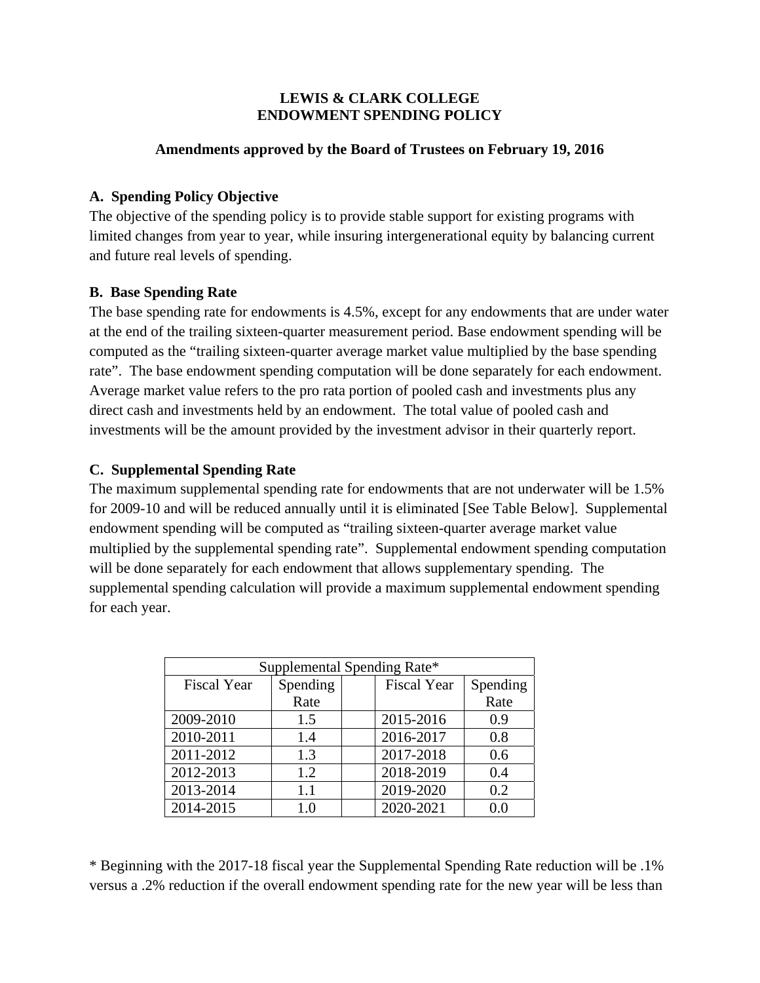#### **LEWIS & CLARK COLLEGE ENDOWMENT SPENDING POLICY**

#### **Amendments approved by the Board of Trustees on February 19, 2016**

#### **A. Spending Policy Objective**

The objective of the spending policy is to provide stable support for existing programs with limited changes from year to year, while insuring intergenerational equity by balancing current and future real levels of spending.

## **B. Base Spending Rate**

The base spending rate for endowments is 4.5%, except for any endowments that are under water at the end of the trailing sixteen-quarter measurement period. Base endowment spending will be computed as the "trailing sixteen-quarter average market value multiplied by the base spending rate". The base endowment spending computation will be done separately for each endowment. Average market value refers to the pro rata portion of pooled cash and investments plus any direct cash and investments held by an endowment. The total value of pooled cash and investments will be the amount provided by the investment advisor in their quarterly report.

## **C. Supplemental Spending Rate**

The maximum supplemental spending rate for endowments that are not underwater will be 1.5% for 2009-10 and will be reduced annually until it is eliminated [See Table Below]. Supplemental endowment spending will be computed as "trailing sixteen-quarter average market value multiplied by the supplemental spending rate". Supplemental endowment spending computation will be done separately for each endowment that allows supplementary spending. The supplemental spending calculation will provide a maximum supplemental endowment spending for each year.

| Supplemental Spending Rate* |          |  |                    |          |
|-----------------------------|----------|--|--------------------|----------|
| <b>Fiscal Year</b>          | Spending |  | <b>Fiscal Year</b> | Spending |
|                             | Rate     |  |                    | Rate     |
| 2009-2010                   | 1.5      |  | 2015-2016          | 0.9      |
| 2010-2011                   | 1.4      |  | 2016-2017          | 0.8      |
| 2011-2012                   | 1.3      |  | 2017-2018          | 0.6      |
| 2012-2013                   | 1.2      |  | 2018-2019          | 0.4      |
| 2013-2014                   | 1.1      |  | 2019-2020          | 0.2      |
| 2014-2015                   | 1.0      |  | 2020-2021          | 0.0      |

\* Beginning with the 2017-18 fiscal year the Supplemental Spending Rate reduction will be .1% versus a .2% reduction if the overall endowment spending rate for the new year will be less than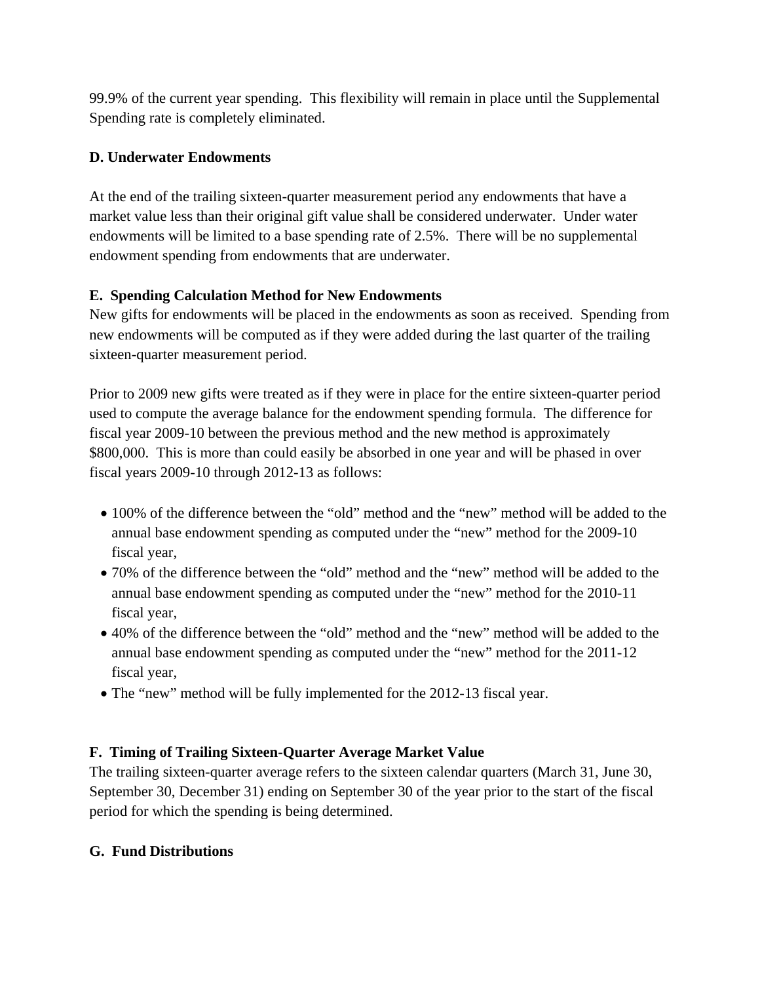99.9% of the current year spending. This flexibility will remain in place until the Supplemental Spending rate is completely eliminated.

# **D. Underwater Endowments**

At the end of the trailing sixteen-quarter measurement period any endowments that have a market value less than their original gift value shall be considered underwater. Under water endowments will be limited to a base spending rate of 2.5%. There will be no supplemental endowment spending from endowments that are underwater.

# **E. Spending Calculation Method for New Endowments**

New gifts for endowments will be placed in the endowments as soon as received. Spending from new endowments will be computed as if they were added during the last quarter of the trailing sixteen-quarter measurement period.

Prior to 2009 new gifts were treated as if they were in place for the entire sixteen-quarter period used to compute the average balance for the endowment spending formula. The difference for fiscal year 2009-10 between the previous method and the new method is approximately \$800,000. This is more than could easily be absorbed in one year and will be phased in over fiscal years 2009-10 through 2012-13 as follows:

- 100% of the difference between the "old" method and the "new" method will be added to the annual base endowment spending as computed under the "new" method for the 2009-10 fiscal year,
- 70% of the difference between the "old" method and the "new" method will be added to the annual base endowment spending as computed under the "new" method for the 2010-11 fiscal year,
- 40% of the difference between the "old" method and the "new" method will be added to the annual base endowment spending as computed under the "new" method for the 2011-12 fiscal year,
- The "new" method will be fully implemented for the 2012-13 fiscal year.

# **F. Timing of Trailing Sixteen-Quarter Average Market Value**

The trailing sixteen-quarter average refers to the sixteen calendar quarters (March 31, June 30, September 30, December 31) ending on September 30 of the year prior to the start of the fiscal period for which the spending is being determined.

## **G. Fund Distributions**